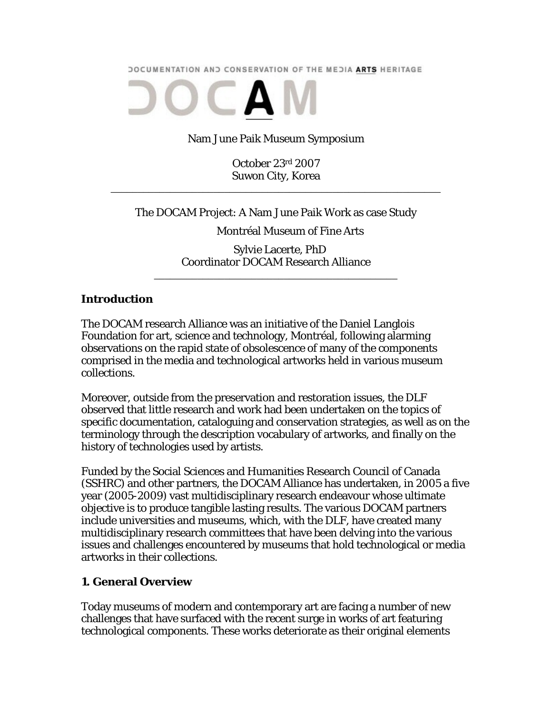**DOCUMENTATION AND CONSERVATION OF THE MEDIA ARTS HERITAGE** 



Nam June Paik Museum Symposium

October 23rd 2007 Suwon City, Korea

\_\_\_\_\_\_\_\_\_\_\_\_\_\_\_\_\_\_\_\_\_\_\_\_\_\_\_\_\_\_\_\_\_\_\_\_\_\_\_\_\_\_\_\_\_\_\_\_\_\_\_\_\_\_\_\_\_\_\_\_\_

The DOCAM Project: A Nam June Paik Work as case Study

Montréal Museum of Fine Arts

 Sylvie Lacerte, PhD Coordinator DOCAM Research Alliance

\_\_\_\_\_\_\_\_\_\_\_\_\_\_\_\_\_\_\_\_\_\_\_\_\_\_\_\_\_\_\_\_\_\_\_\_\_\_\_\_\_\_\_\_\_

### **Introduction**

The DOCAM research Alliance was an initiative of the Daniel Langlois Foundation for art, science and technology, Montréal, following alarming observations on the rapid state of obsolescence of many of the components comprised in the media and technological artworks held in various museum collections.

Moreover, outside from the preservation and restoration issues, the DLF observed that little research and work had been undertaken on the topics of specific documentation, cataloguing and conservation strategies, as well as on the terminology through the description vocabulary of artworks, and finally on the history of technologies used by artists.

Funded by the Social Sciences and Humanities Research Council of Canada (SSHRC) and other partners, the DOCAM Alliance has undertaken, in 2005 a five year (2005-2009) vast multidisciplinary research endeavour whose ultimate objective is to produce tangible lasting results. The various DOCAM partners include universities and museums, which, with the DLF, have created many multidisciplinary research committees that have been delving into the various issues and challenges encountered by museums that hold technological or media artworks in their collections.

### **1. General Overview**

Today museums of modern and contemporary art are facing a number of new challenges that have surfaced with the recent surge in works of art featuring technological components. These works deteriorate as their original elements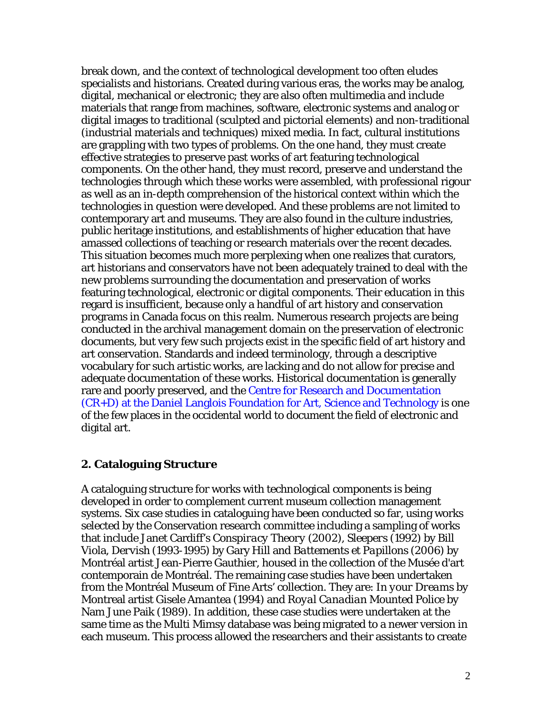break down, and the context of technological development too often eludes specialists and historians. Created during various eras, the works may be analog, digital, mechanical or electronic; they are also often multimedia and include materials that range from machines, software, electronic systems and analog or digital images to traditional (sculpted and pictorial elements) and non-traditional (industrial materials and techniques) mixed media. In fact, cultural institutions are grappling with two types of problems. On the one hand, they must create effective strategies to preserve past works of art featuring technological components. On the other hand, they must record, preserve and understand the technologies through which these works were assembled, with professional rigour as well as an in-depth comprehension of the historical context within which the technologies in question were developed. And these problems are not limited to contemporary art and museums. They are also found in the culture industries, public heritage institutions, and establishments of higher education that have amassed collections of teaching or research materials over the recent decades. This situation becomes much more perplexing when one realizes that curators, art historians and conservators have not been adequately trained to deal with the new problems surrounding the documentation and preservation of works featuring technological, electronic or digital components. Their education in this regard is insufficient, because only a handful of art history and conservation programs in Canada focus on this realm. Numerous research projects are being conducted in the archival management domain on the preservation of electronic documents, but very few such projects exist in the specific field of art history and art conservation. Standards and indeed terminology, through a descriptive vocabulary for such artistic works, are lacking and do not allow for precise and adequate documentation of these works. Historical documentation is generally rare and poorly preserved, and the Centre for Research and Documentation (CR+D) at the Daniel Langlois Foundation for Art, Science and Technology is one of the few places in the occidental world to document the field of electronic and digital art.

### **2. Cataloguing Structure**

A cataloguing structure for works with technological components is being developed in order to complement current museum collection management systems. Six case studies in cataloguing have been conducted so far, using works selected by the Conservation research committee including a sampling of works that include Janet Cardiff's *Conspiracy Theory* (2002), *Sleepers* (1992) by Bill Viola, *Dervish* (1993-1995) by Gary Hill and *Battements et Papillons* (2006) by Montréal artist Jean-Pierre Gauthier, housed in the collection of the Musée d'art contemporain de Montréal. The remaining case studies have been undertaken from the Montréal Museum of Fine Arts' collection. They are: *In your Dreams* by Montreal artist Gisele Amantea (1994) and *Royal Canadian Mounted Police* by Nam June Paik (1989). In addition, these case studies were undertaken at the same time as the Multi Mimsy database was being migrated to a newer version in each museum. This process allowed the researchers and their assistants to create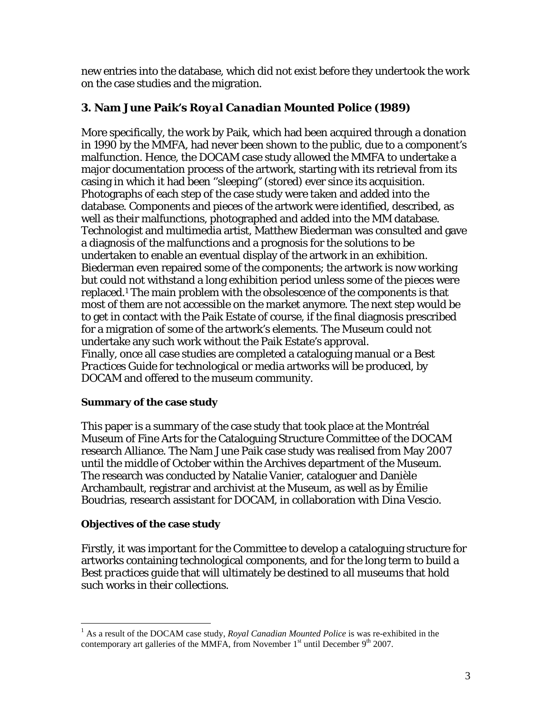new entries into the database, which did not exist before they undertook the work on the case studies and the migration.

# **3. Nam June Paik's** *Royal Canadian Mounted Police* **(1989)**

More specifically, the work by Paik, which had been acquired through a donation in 1990 by the MMFA, had never been shown to the public, due to a component's malfunction. Hence, the DOCAM case study allowed the MMFA to undertake a major documentation process of the artwork, starting with its retrieval from its casing in which it had been ''sleeping" (stored) ever since its acquisition. Photographs of each step of the case study were taken and added into the database. Components and pieces of the artwork were identified, described, as well as their malfunctions, photographed and added into the MM database. Technologist and multimedia artist, Matthew Biederman was consulted and gave a diagnosis of the malfunctions and a prognosis for the solutions to be undertaken to enable an eventual display of the artwork in an exhibition. Biederman even repaired some of the components; the artwork is now working but could not withstand a long exhibition period unless some of the pieces were replaced.1 The main problem with the obsolescence of the components is that most of them are not accessible on the market anymore. The next step would be to get in contact with the Paik Estate of course, if the final diagnosis prescribed for a migration of some of the artwork's elements. The Museum could not undertake any such work without the Paik Estate's approval. Finally, once all case studies are completed a cataloguing manual or a *Best Practices Guide* for technological or media artworks will be produced, by DOCAM and offered to the museum community.

### **Summary of the case study**

This paper is a summary of the case study that took place at the Montréal Museum of Fine Arts for the Cataloguing Structure Committee of the DOCAM research Alliance. The Nam June Paik case study was realised from May 2007 until the middle of October within the Archives department of the Museum. The research was conducted by Natalie Vanier, cataloguer and Danièle Archambault, registrar and archivist at the Museum, as well as by Émilie Boudrias, research assistant for DOCAM, in collaboration with Dina Vescio.

### **Objectives of the case study**

Firstly, it was important for the Committee to develop a cataloguing structure for artworks containing technological components, and for the long term to build a *Best practices guide* that will ultimately be destined to all museums that hold such works in their collections.

 $\frac{1}{1}$ <sup>1</sup> As a result of the DOCAM case study, *Royal Canadian Mounted Police* is was re-exhibited in the contemporary art galleries of the MMFA, from November  $1<sup>st</sup>$  until December  $9<sup>th</sup>$  2007.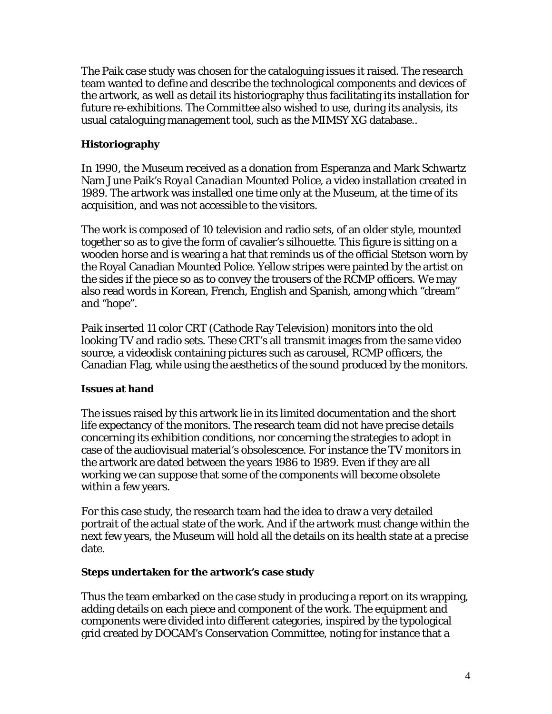The Paik case study was chosen for the cataloguing issues it raised. The research team wanted to define and describe the technological components and devices of the artwork, as well as detail its historiography thus facilitating its installation for future re-exhibitions. The Committee also wished to use, during its analysis, its usual cataloguing management tool, such as the MIMSY XG database..

# **Historiography**

In 1990, the Museum received as a donation from Esperanza and Mark Schwartz Nam June Paik's *Royal Canadian Mounted Police*, a video installation created in 1989. The artwork was installed one time only at the Museum, at the time of its acquisition, and was not accessible to the visitors.

The work is composed of 10 television and radio sets, of an older style, mounted together so as to give the form of cavalier's silhouette. This figure is sitting on a wooden horse and is wearing a hat that reminds us of the official Stetson worn by the Royal Canadian Mounted Police. Yellow stripes were painted by the artist on the sides if the piece so as to convey the trousers of the RCMP officers. We may also read words in Korean, French, English and Spanish, among which "dream" and "hope".

Paik inserted 11 color CRT (Cathode Ray Television) monitors into the old looking TV and radio sets. These CRT's all transmit images from the same video source, a videodisk containing pictures such as carousel, RCMP officers, the Canadian Flag, while using the aesthetics of the sound produced by the monitors.

### **Issues at hand**

The issues raised by this artwork lie in its limited documentation and the short life expectancy of the monitors. The research team did not have precise details concerning its exhibition conditions, nor concerning the strategies to adopt in case of the audiovisual material's obsolescence. For instance the TV monitors in the artwork are dated between the years 1986 to 1989. Even if they are all working we can suppose that some of the components will become obsolete within a few years.

For this case study, the research team had the idea to draw a very detailed portrait of the actual state of the work. And if the artwork must change within the next few years, the Museum will hold all the details on its health state at a precise date.

#### **Steps undertaken for the artwork's case study**

Thus the team embarked on the case study in producing a report on its wrapping, adding details on each piece and component of the work. The equipment and components were divided into different categories, inspired by the typological grid created by DOCAM's Conservation Committee, noting for instance that a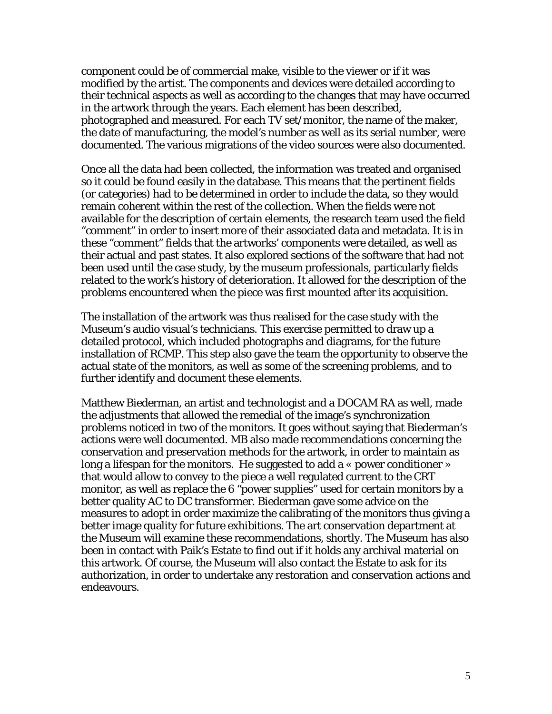component could be of commercial make, visible to the viewer or if it was modified by the artist. The components and devices were detailed according to their technical aspects as well as according to the changes that may have occurred in the artwork through the years. Each element has been described, photographed and measured. For each TV set/monitor, the name of the maker, the date of manufacturing, the model's number as well as its serial number, were documented. The various migrations of the video sources were also documented.

Once all the data had been collected, the information was treated and organised so it could be found easily in the database. This means that the pertinent fields (or categories) had to be determined in order to include the data, so they would remain coherent within the rest of the collection. When the fields were not available for the description of certain elements, the research team used the field "comment" in order to insert more of their associated data and metadata. It is in these "comment" fields that the artworks' components were detailed, as well as their actual and past states. It also explored sections of the software that had not been used until the case study, by the museum professionals, particularly fields related to the work's history of deterioration. It allowed for the description of the problems encountered when the piece was first mounted after its acquisition.

The installation of the artwork was thus realised for the case study with the Museum's audio visual's technicians. This exercise permitted to draw up a detailed protocol, which included photographs and diagrams, for the future installation of RCMP. This step also gave the team the opportunity to observe the actual state of the monitors, as well as some of the screening problems, and to further identify and document these elements.

Matthew Biederman, an artist and technologist and a DOCAM RA as well, made the adjustments that allowed the remedial of the image's synchronization problems noticed in two of the monitors. It goes without saying that Biederman's actions were well documented. MB also made recommendations concerning the conservation and preservation methods for the artwork, in order to maintain as long a lifespan for the monitors. He suggested to add a « power conditioner » that would allow to convey to the piece a well regulated current to the CRT monitor, as well as replace the 6 "power supplies" used for certain monitors by a better quality AC to DC transformer. Biederman gave some advice on the measures to adopt in order maximize the calibrating of the monitors thus giving a better image quality for future exhibitions. The art conservation department at the Museum will examine these recommendations, shortly. The Museum has also been in contact with Paik's Estate to find out if it holds any archival material on this artwork. Of course, the Museum will also contact the Estate to ask for its authorization, in order to undertake any restoration and conservation actions and endeavours.